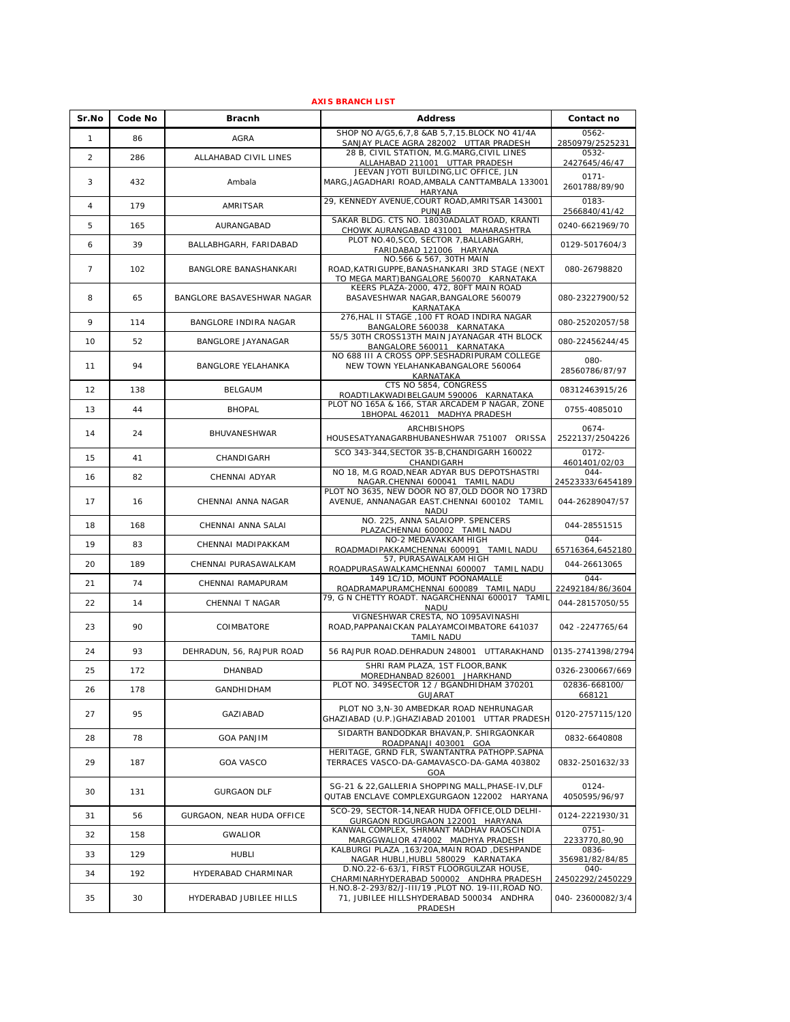| <b>AXIS BRANCH LIST</b> |         |                            |                                                                                                                       |                             |  |
|-------------------------|---------|----------------------------|-----------------------------------------------------------------------------------------------------------------------|-----------------------------|--|
| Sr.No                   | Code No | <b>Bracnh</b>              | <b>Address</b>                                                                                                        | Contact no                  |  |
| 1                       | 86      | <b>AGRA</b>                | SHOP NO A/G5,6,7,8 &AB 5,7,15.BLOCK NO 41/4A<br>SANJAY PLACE AGRA 282002 UTTAR PRADESH                                | $0562 -$<br>2850979/2525231 |  |
| 2                       | 286     | ALLAHABAD CIVIL LINES      | 28 B, CIVIL STATION, M.G.MARG, CIVIL LINES                                                                            | 0532-                       |  |
|                         |         |                            | ALLAHABAD 211001 UTTAR PRADESH<br>JEEVAN JYOTI BUILDING, LIC OFFICE, JLN                                              | 2427645/46/47               |  |
| 3                       | 432     | Ambala                     | MARG, JAGADHARI ROAD, AMBALA CANTTAMBALA 133001<br>HARYANA                                                            | $0171 -$<br>2601788/89/90   |  |
| $\overline{4}$          | 179     | AMRITSAR                   | 29, KENNEDY AVENUE, COURT ROAD, AMRITSAR 143001<br>PUNJAB                                                             | 0183-<br>2566840/41/42      |  |
| 5                       | 165     | AURANGABAD                 | SAKAR BLDG. CTS NO. 18030ADALAT ROAD, KRANTI<br>CHOWK AURANGABAD 431001 MAHARASHTRA                                   | 0240-6621969/70             |  |
| 6                       | 39      | BALLABHGARH, FARIDABAD     | PLOT NO.40, SCO, SECTOR 7, BALLABHGARH,<br>FARIDABAD 121006 HARYANA                                                   | 0129-5017604/3              |  |
| $\overline{7}$          | 102     | BANGLORE BANASHANKARI      | NO.566 & 567, 30TH MAIN<br>ROAD, KATRIGUPPE, BANASHANKARI 3RD STAGE (NEXT<br>TO MEGA MART) BANGALORE 560070 KARNATAKA | 080-26798820                |  |
| 8                       | 65      | BANGLORE BASAVESHWAR NAGAR | KEERS PLAZA-2000, 472, 80FT MAIN ROAD<br>BASAVESHWAR NAGAR, BANGALORE 560079<br>KARNATAKA                             | 080-23227900/52             |  |
| 9                       | 114     | BANGLORE INDIRA NAGAR      | 276, HAL II STAGE, 100 FT ROAD INDIRA NAGAR<br>BANGALORE 560038 KARNATAKA                                             | 080-25202057/58             |  |
| 10                      | 52      | BANGLORE JAYANAGAR         | 55/5 30TH CROSS13TH MAIN JAYANAGAR 4TH BLOCK<br>BANGALORE 560011 KARNATAKA                                            | 080-22456244/45             |  |
| 11                      | 94      | <b>BANGLORE YELAHANKA</b>  | NO 688 III A CROSS OPP. SESHADRIPURAM COLLEGE<br>NEW TOWN YELAHANKABANGALORE 560064<br>KARNATAKA                      | 080-<br>28560786/87/97      |  |
| 12                      | 138     | <b>BELGAUM</b>             | CTS NO 5854, CONGRESS<br>ROADTILAKWADIBELGAUM 590006 KARNATAKA                                                        | 08312463915/26              |  |
| 13                      | 44      | <b>BHOPAL</b>              | PLOT NO 165A & 166, STAR ARCADEM P NAGAR, ZONE<br>1BHOPAL 462011 MADHYA PRADESH                                       | 0755-4085010                |  |
| 14                      | 24      | BHUVANESHWAR               | ARCHBISHOPS<br>HOUSESATYANAGARBHUBANESHWAR 751007 ORISSA                                                              | 0674-<br>2522137/2504226    |  |
| 15                      | 41      | CHANDIGARH                 | SCO 343-344, SECTOR 35-B, CHANDIGARH 160022<br>CHANDIGARH                                                             | $0172 -$<br>4601401/02/03   |  |
| 16                      | 82      | CHENNAI ADYAR              | NO 18, M.G ROAD, NEAR ADYAR BUS DEPOTSHASTRI<br>NAGAR.CHENNAI 600041 TAMIL NADU                                       | $044 -$<br>24523333/6454189 |  |
| 17                      | 16      | CHENNAI ANNA NAGAR         | PLOT NO 3635, NEW DOOR NO 87, OLD DOOR NO 173RD<br>AVENUE, ANNANAGAR EAST.CHENNAI 600102 TAMIL<br>NADU                | 044-26289047/57             |  |
| 18                      | 168     | CHENNAI ANNA SALAI         | NO. 225, ANNA SALAIOPP. SPENCERS<br>PLAZACHENNAI 600002 TAMIL NADU                                                    | 044-28551515                |  |
| 19                      | 83      | CHENNAI MADIPAKKAM         | NO-2 MEDAVAKKAM HIGH<br>ROADMADIPAKKAMCHENNAI 600091 TAMIL NADU                                                       | $044 -$<br>65716364,6452180 |  |
| 20                      | 189     | CHENNAI PURASAWALKAM       | 57, PURASAWALKAM HIGH<br>ROADPURASAWALKAMCHENNAI 600007 TAMIL NADU                                                    | 044-26613065                |  |
| 21                      | 74      | CHENNAI RAMAPURAM          | 149 1C/1D, MOUNT POONAMALLE<br>ROADRAMAPURAMCHENNAI 600089 TAMIL NADU                                                 | $044 -$<br>22492184/86/3604 |  |
| 22                      | 14      | CHENNAI T NAGAR            | 79, G N CHETTY ROADT. NAGARCHENNAI 600017 TAMIL<br>NADU                                                               | 044-28157050/55             |  |
| 23                      | 90      | COIMBATORE                 | VIGNESHWAR CRESTA, NO 1095AVINASHI<br>ROAD, PAPPANAICKAN PALAYAMCOIMBATORE 641037<br>TAMIL NADU                       | 042 -2247765/64             |  |
| 24                      | 93      | DEHRADUN, 56, RAJPUR ROAD  | 56 RAJPUR ROAD. DEHRADUN 248001 UTTARAKHAND                                                                           | 0135-2741398/2794           |  |
| 25                      | 172     | DHANBAD                    | SHRI RAM PLAZA, 1ST FLOOR, BANK<br>MOREDHANBAD 826001 JHARKHAND                                                       | 0326-2300667/669            |  |
| 26                      | 178     | GANDHIDHAM                 | PLOT NO. 349SECTOR 12 / BGANDHIDHAM 370201<br>GUJARAT                                                                 | 02836-668100/<br>668121     |  |
| 27                      | 95      | GAZIABAD                   | PLOT NO 3, N-30 AMBEDKAR ROAD NEHRUNAGAR<br>GHAZIABAD (U.P.) GHAZIABAD 201001 UTTAR PRADESH                           | 0120-2757115/120            |  |
| 28                      | 78      | <b>GOA PANJIM</b>          | SIDARTH BANDODKAR BHAVAN.P. SHIRGAONKAR<br>ROADPANAJI 403001 GOA                                                      | 0832-6640808                |  |
| 29                      | 187     | <b>GOA VASCO</b>           | HERITAGE, GRND FLR, SWANTANTRA PATHOPP.SAPNA<br>TERRACES VASCO-DA-GAMAVASCO-DA-GAMA 403802<br>GOA                     | 0832-2501632/33             |  |
| 30                      | 131     | <b>GURGAON DLF</b>         | SG-21 & 22, GALLERIA SHOPPING MALL, PHASE-IV, DLF<br>QUTAB ENCLAVE COMPLEXGURGAON 122002 HARYANA                      | 0124-<br>4050595/96/97      |  |
| 31                      | 56      | GURGAON, NEAR HUDA OFFICE  | SCO-29, SECTOR-14, NEAR HUDA OFFICE, OLD DELHI-<br>GURGAON RDGURGAON 122001 HARYANA                                   | 0124-2221930/31             |  |
| 32                      | 158     | <b>GWALIOR</b>             | KANWAL COMPLEX, SHRMANT MADHAV RAOSCINDIA<br>MARGGWALIOR 474002 MADHYA PRADESH                                        | $0751 -$<br>2233770,80,90   |  |
| 33                      | 129     | <b>HUBLI</b>               | KALBURGI PLAZA , 163/20A, MAIN ROAD, DESHPANDE<br>NAGAR HUBLI, HUBLI 580029 KARNATAKA                                 | 0836-<br>356981/82/84/85    |  |
| 34                      | 192     | HYDERABAD CHARMINAR        | D.NO.22-6-63/1, FIRST FLOORGULZAR HOUSE,<br>CHARMINARHYDERABAD 500002 ANDHRA PRADESH                                  | 040-<br>24502292/2450229    |  |
| 35                      | 30      | HYDERABAD JUBILEE HILLS    | H.NO.8-2-293/82/J-III/19, PLOT NO. 19-III, ROAD NO.<br>71, JUBILEE HILLSHYDERABAD 500034 ANDHRA<br>PRADESH            | 040-23600082/3/4            |  |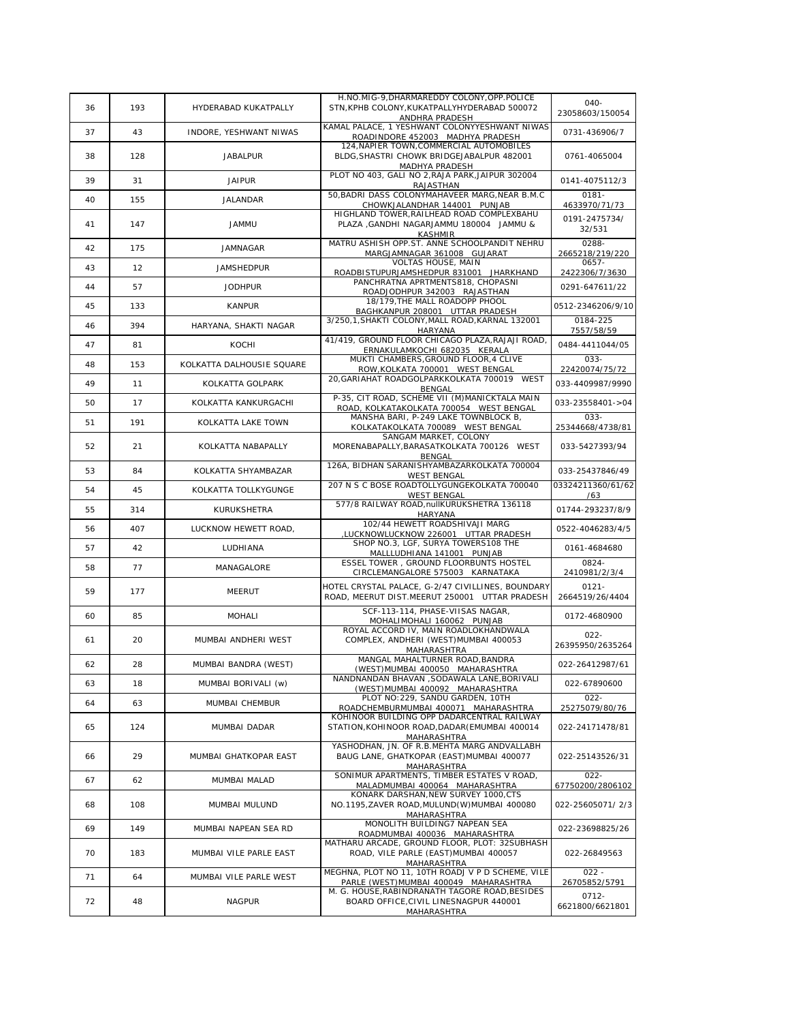|    |     |                           | H.NO.MIG-9, DHARMAREDDY COLONY, OPP.POLICE                                                                                          |                                   |
|----|-----|---------------------------|-------------------------------------------------------------------------------------------------------------------------------------|-----------------------------------|
| 36 | 193 | HYDERABAD KUKATPALLY      | STN, KPHB COLONY, KUKATPALLYHYDERABAD 500072<br>ANDHRA PRADESH                                                                      | 040-<br>23058603/150054           |
| 37 | 43  | INDORE, YESHWANT NIWAS    | KAMAL PALACE, 1 YESHWANT COLONYYESHWANT NIWAS<br>ROADINDORE 452003 MADHYA PRADESH                                                   | 0731-436906/7                     |
| 38 | 128 | <b>JABALPUR</b>           | 124, NAPIER TOWN, COMMERCIAL AUTOMOBILES<br>BLDG, SHASTRI CHOWK BRIDGEJABALPUR 482001<br>MADHYA PRADESH                             | 0761-4065004                      |
| 39 | 31  | <b>JAIPUR</b>             | PLOT NO 403, GALI NO 2, RAJA PARK, JAIPUR 302004<br>RAJASTHAN                                                                       | 0141-4075112/3                    |
| 40 | 155 | JALANDAR                  | 50, BADRI DASS COLONYMAHAVEER MARG, NEAR B.M.C<br>CHOWKJALANDHAR 144001 PUNJAB                                                      | $0181 -$<br>4633970/71/73         |
| 41 | 147 | <b>JAMMU</b>              | HIGHLAND TOWER, RAILHEAD ROAD COMPLEXBAHU<br>PLAZA , GANDHI NAGARJAMMU 180004 JAMMU &<br><b>KASHMIR</b>                             | 0191-2475734/<br>32/531           |
| 42 | 175 | <b>JAMNAGAR</b>           | MATRU ASHISH OPP.ST. ANNE SCHOOLPANDIT NEHRU<br>MARGJAMNAGAR 361008 GUJARAT                                                         | 0288-<br>2665218/219/220          |
| 43 | 12  | <b>JAMSHEDPUR</b>         | VOLTAS HOUSE, MAIN<br>ROADBISTUPURJAMSHEDPUR 831001 JHARKHAND                                                                       | $0657 -$<br>2422306/7/3630        |
| 44 | 57  | <b>JODHPUR</b>            | PANCHRATNA APRTMENTS818, CHOPASNI<br>ROADJODHPUR 342003 RAJASTHAN                                                                   | 0291-647611/22                    |
| 45 | 133 | <b>KANPUR</b>             | 18/179, THE MALL ROADOPP PHOOL<br>BAGHKANPUR 208001 UTTAR PRADESH                                                                   | 0512-2346206/9/10                 |
| 46 | 394 | HARYANA, SHAKTI NAGAR     | 3/250,1, SHAKTI COLONY, MALL ROAD, KARNAL 132001<br><b>HARYANA</b>                                                                  | 0184-225<br>7557/58/59            |
| 47 | 81  | KOCHI                     | 41/419, GROUND FLOOR CHICAGO PLAZA, RAJAJI ROAD,<br>ERNAKULAMKOCHI 682035 KERALA                                                    | 0484-4411044/05                   |
| 48 | 153 | KOLKATTA DALHOUSIE SQUARE | MUKTI CHAMBERS, GROUND FLOOR, 4 CLIVE<br>ROW, KOLKATA 700001 WEST BENGAL                                                            | $033 -$<br>22420074/75/72         |
| 49 | 11  | KOLKATTA GOLPARK          | 20, GARIAHAT ROADGOLPARKKOLKATA 700019 WEST                                                                                         | 033-4409987/9990                  |
| 50 | 17  | KOLKATTA KANKURGACHI      | BENGAL<br>P-35, CIT ROAD, SCHEME VII (M) MANICKTALA MAIN<br>ROAD, KOLKATAKOLKATA 700054 WEST BENGAL                                 | 033-23558401->04                  |
| 51 | 191 | KOLKATTA LAKE TOWN        | MANSHA BARI, P-249 LAKE TOWNBLOCK B,<br>KOLKATAKOLKATA 700089 WEST BENGAL                                                           | 033-<br>25344668/4738/81          |
| 52 | 21  | KOLKATTA NABAPALLY        | SANGAM MARKET, COLONY<br>MORENABAPALLY, BARASATKOLKATA 700126 WEST<br>BENGAL                                                        | 033-5427393/94                    |
| 53 | 84  | KOLKATTA SHYAMBAZAR       | 126A, BIDHAN SARANISHYAMBAZARKOLKATA 700004                                                                                         | 033-25437846/49                   |
| 54 | 45  | KOLKATTA TOLLKYGUNGE      | <b>WEST BENGAL</b><br>207 N S C BOSE ROADTOLLYGUNGEKOLKATA 700040<br><b>WEST BENGAL</b>                                             | 03324211360/61/62<br>/63          |
| 55 | 314 | KURUKSHETRA               | 577/8 RAILWAY ROAD, nullKURUKSHETRA 136118<br>HARYANA                                                                               | 01744-293237/8/9                  |
| 56 | 407 | LUCKNOW HEWETT ROAD,      | 102/44 HEWETT ROADSHIVAJI MARG<br>LUCKNOWLUCKNOW 226001 UTTAR PRADESH                                                               | 0522-4046283/4/5                  |
| 57 | 42  | LUDHIANA                  | SHOP NO.3, LGF, SURYA TOWERS108 THE                                                                                                 | 0161-4684680                      |
| 58 | 77  | MANAGALORE                | MALLLUDHIANA 141001 PUNJAB<br>ESSEL TOWER, GROUND FLOORBUNTS HOSTEL<br>CIRCLEMANGALORE 575003 KARNATAKA                             | 0824-<br>2410981/2/3/4            |
| 59 | 177 | <b>MEERUT</b>             | HOTEL CRYSTAL PALACE, G-2/47 CIVILLINES, BOUNDARY<br>ROAD, MEERUT DIST.MEERUT 250001 UTTAR PRADESH                                  | $0121 -$<br>2664519/26/4404       |
| 60 | 85  | <b>MOHALI</b>             | SCF-113-114, PHASE-VIISAS NAGAR,<br>MOHALIMOHALI 160062 PUNJAB                                                                      | 0172-4680900                      |
| 61 | 20  | MUMBAI ANDHERI WEST       | ROYAL ACCORD IV, MAIN ROADLOKHANDWALA<br>COMPLEX, ANDHERI (WEST)MUMBAI 400053<br>MAHARASHTRA                                        | $022 -$<br>26395950/2635264       |
| 62 | 28  | MUMBAI BANDRA (WEST)      | MANGAL MAHALTURNER ROAD, BANDRA<br>(WEST) MUMBAI 400050 MAHARASHTRA                                                                 | 022-26412987/61                   |
| 63 | 18  | MUMBAI BORIVALI (w)       | NANDNANDAN BHAVAN , SODAWALA LANE, BORIVALI                                                                                         | 022-67890600                      |
| 64 | 63  | MUMBAI CHEMBUR            | (WEST) MUMBAI 400092 MAHARASHTRA<br>PLOT NO: 229, SANDU GARDEN, 10TH                                                                | $022 -$                           |
| 65 | 124 | MUMBAI DADAR              | ROADCHEMBURMUMBAI 400071 MAHARASHTRA<br>KOHINOOR BUILDING OPP DADARCENTRAL RAILWAY<br>STATION, KOHINOOR ROAD, DADAR (EMUMBAI 400014 | 25275079/80/76<br>022-24171478/81 |
| 66 | 29  | MUMBAI GHATKOPAR EAST     | MAHARASHTRA<br>YASHODHAN, JN. OF R.B.MEHTA MARG ANDVALLABH<br>BAUG LANE, GHATKOPAR (EAST) MUMBAI 400077<br><b>MAHARASHTRA</b>       | 022-25143526/31                   |
| 67 | 62  | MUMBAI MALAD              | SONIMUR APARTMENTS, TIMBER ESTATES V ROAD,<br>MALADMUMBAI 400064 MAHARASHTRA                                                        | $022 -$<br>67750200/2806102       |
| 68 | 108 | MUMBAI MULUND             | KONARK DARSHAN, NEW SURVEY 1000, CTS<br>NO.1195, ZAVER ROAD, MULUND(W) MUMBAI 400080<br>MAHARASHTRA                                 | 022-25605071/2/3                  |
| 69 | 149 | MUMBAI NAPEAN SEA RD      | MONOLITH BUILDING7 NAPEAN SEA<br>ROADMUMBAI 400036 MAHARASHTRA                                                                      | 022-23698825/26                   |
| 70 | 183 | MUMBAI VILE PARLE EAST    | MATHARU ARCADE, GROUND FLOOR, PLOT: 32SUBHASH<br>ROAD, VILE PARLE (EAST)MUMBAI 400057<br>MAHARASHTRA                                | 022-26849563                      |
| 71 | 64  | MUMBAI VILE PARLE WEST    | MEGHNA, PLOT NO 11, 10TH ROADJ V P D SCHEME, VILE<br>PARLE (WEST) MUMBAI 400049 MAHARASHTRA                                         | $022 -$<br>26705852/5791          |
| 72 | 48  | <b>NAGPUR</b>             | M. G. HOUSE, RABINDRANATH TAGORE ROAD, BESIDES<br>BOARD OFFICE, CIVIL LINESNAGPUR 440001<br>MAHARASHTRA                             | 0712-<br>6621800/6621801          |
|    |     |                           |                                                                                                                                     |                                   |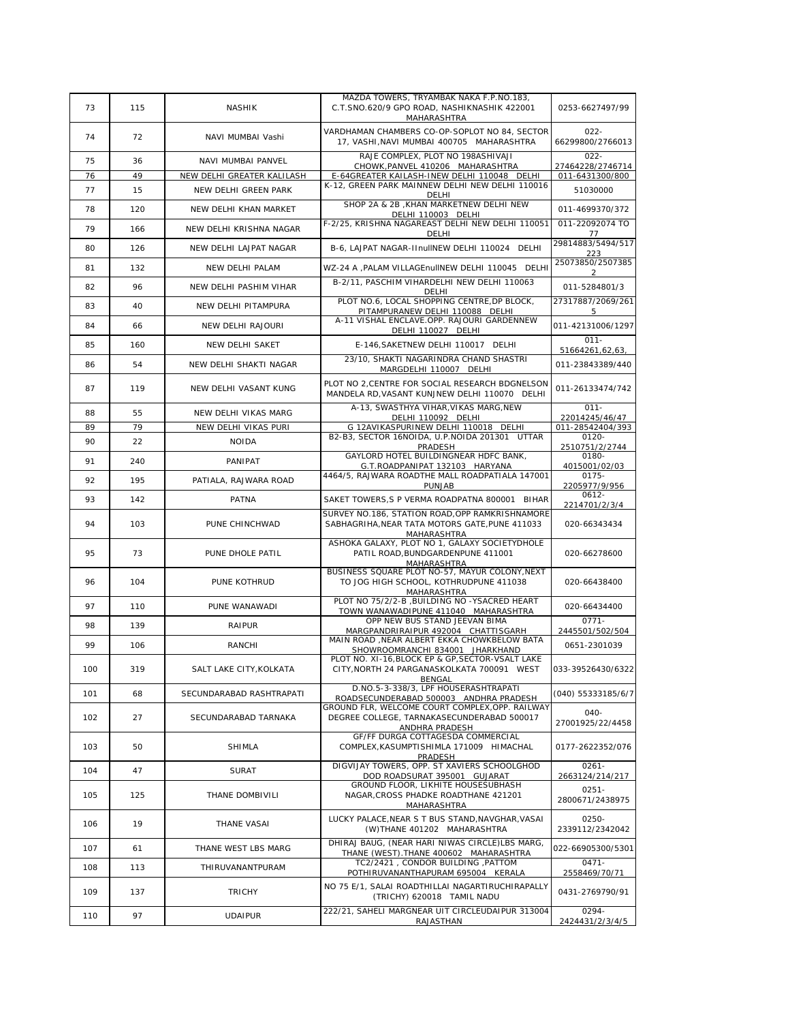|     |     |                            | MAZDA TOWERS, TRYAMBAK NAKA F.P.NO.183,                                                                         |                             |
|-----|-----|----------------------------|-----------------------------------------------------------------------------------------------------------------|-----------------------------|
| 73  | 115 | <b>NASHIK</b>              | C.T.SNO.620/9 GPO ROAD, NASHIKNASHIK 422001<br>MAHARASHTRA                                                      | 0253-6627497/99             |
| 74  | 72  | NAVI MUMBAI Vashi          | VARDHAMAN CHAMBERS CO-OP-SOPLOT NO 84, SECTOR<br>17, VASHI, NAVI MUMBAI 400705 MAHARASHTRA                      | $022 -$<br>66299800/2766013 |
| 75  | 36  | NAVI MUMBAI PANVEL         | RAJE COMPLEX, PLOT NO 198ASHIVAJI<br>CHOWK.PANVEL 410206 MAHARASHTRA                                            | $022 -$<br>27464228/2746714 |
| 76  | 49  | NEW DELHI GREATER KALILASH | E-64GREATER KAILASH-INEW DELHI 110048 DELHI                                                                     | 011-6431300/800             |
| 77  | 15  | NEW DELHI GREEN PARK       | K-12, GREEN PARK MAINNEW DELHI NEW DELHI 110016<br>DELHI                                                        | 51030000                    |
| 78  | 120 | NEW DELHI KHAN MARKET      | SHOP 2A & 2B , KHAN MARKETNEW DELHI NEW<br>DELHI 110003 DELHI                                                   | 011-4699370/372             |
| 79  | 166 | NEW DELHI KRISHNA NAGAR    | F-2/25, KRISHNA NAGAREAST DELHI NEW DELHI 110051<br>DELHI                                                       | 011-22092074 TO<br>77       |
| 80  | 126 | NEW DELHI LAJPAT NAGAR     | B-6. LAJPAT NAGAR-IInulINEW DELHI 110024 DELHI                                                                  | 29814883/5494/517<br>223    |
| 81  | 132 | NEW DELHI PALAM            | WZ-24 A , PALAM VILLAGEnullNEW DELHI 110045 DELHI                                                               | 25073850/2507385<br>2       |
| 82  | 96  | NEW DELHI PASHIM VIHAR     | B-2/11, PASCHIM VIHARDELHI NEW DELHI 110063<br>DELHI                                                            | 011-5284801/3               |
| 83  | 40  | NEW DELHI PITAMPURA        | PLOT NO.6, LOCAL SHOPPING CENTRE, DP BLOCK,<br>PITAMPURANEW DELHI 110088 DELHI                                  | 27317887/2069/261<br>5      |
| 84  | 66  | NEW DELHI RAJOURI          | A-11 VISHAL ENCLAVE.OPP. RAJOURI GARDENNEW<br>DELHI 110027 DELHI                                                | 011-42131006/1297           |
| 85  | 160 | NEW DELHI SAKET            | E-146.SAKETNEW DELHI 110017 DELHI                                                                               | $011 -$<br>51664261,62,63,  |
| 86  | 54  | NEW DELHI SHAKTI NAGAR     | 23/10, SHAKTI NAGARINDRA CHAND SHASTRI<br>MARGDELHI 110007 DELHI                                                | 011-23843389/440            |
| 87  | 119 | NEW DELHI VASANT KUNG      | PLOT NO 2. CENTRE FOR SOCIAL RESEARCH BDGNELSON<br>MANDELA RD, VASANT KUNJNEW DELHI 110070 DELHI                | 011-26133474/742            |
| 88  | 55  | NEW DELHI VIKAS MARG       | A-13. SWASTHYA VIHAR. VIKAS MARG. NEW<br>DELHI 110092 DELHI                                                     | $011 -$<br>22014245/46/47   |
| 89  | 79  | NEW DELHI VIKAS PURI       | G 12AVIKASPURINEW DELHI 110018 DELHI                                                                            | 011-28542404/393            |
|     |     |                            | B2-B3, SECTOR 16NOIDA, U.P.NOIDA 201301 UTTAR                                                                   | 0120-                       |
| 90  | 22  | <b>NOIDA</b>               | PRADESH<br>GAYLORD HOTEL BUILDINGNEAR HDFC BANK,                                                                | 2510751/2/2744<br>0180-     |
| 91  | 240 | PANIPAT                    | G.T.ROADPANIPAT 132103 HARYANA<br>4464/5, RAJWARA ROADTHE MALL ROADPATIALA 147001                               | 4015001/02/03<br>$0175 -$   |
| 92  | 195 | PATIALA, RAJWARA ROAD      | PUNJAB                                                                                                          | 2205977/9/956<br>$0612 -$   |
| 93  | 142 | <b>PATNA</b>               | SAKET TOWERS, S P VERMA ROADPATNA 800001 BIHAR<br>SURVEY NO.186, STATION ROAD, OPP RAMKRISHNAMORE               | 2214701/2/3/4               |
| 94  | 103 | PUNE CHINCHWAD             | SABHAGRIHA, NEAR TATA MOTORS GATE, PUNE 411033<br>MAHARASHTRA                                                   | 020-66343434                |
| 95  | 73  | PUNE DHOLE PATIL           | ASHOKA GALAXY, PLOT NO 1, GALAXY SOCIETYDHOLE<br>PATIL ROAD, BUNDGARDENPUNE 411001<br>MAHARASHTRA               | 020-66278600                |
| 96  | 104 | PUNE KOTHRUD               | BUSINESS SQUARE PLOT NO-57, MAYUR COLONY, NEXT<br>TO JOG HIGH SCHOOL, KOTHRUDPUNE 411038<br>MAHARASHTRA         | 020-66438400                |
| 97  | 110 | PUNE WANAWADI              | PLOT NO 75/2/2-B , BUILDING NO -YSACRED HEART<br>TOWN WANAWADIPUNE 411040 MAHARASHTRA                           | 020-66434400                |
| 98  | 139 | RAIPUR                     | OPP NEW BUS STAND JEEVAN BIMA<br>MARGPANDRIRAIPUR 492004 CHATTISGARH                                            | $0771 -$<br>2445501/502/504 |
| 99  | 106 | RANCHI                     | MAIN ROAD , NEAR ALBERT EKKA CHOWKBELOW BATA<br>SHOWROOMRANCHI 834001 JHARKHAND                                 | 0651-2301039                |
| 100 | 319 | SALT LAKE CITY, KOLKATA    | PLOT NO. XI-16, BLOCK EP & GP, SECTOR-VSALT LAKE<br>CITY, NORTH 24 PARGANASKOLKATA 700091 WEST<br>BENGAL        | 033-39526430/6322           |
| 101 | 68  | SECUNDARABAD RASHTRAPATI   | D.NO.5-3-338/3, LPF HOUSERASHTRAPATI<br>ROADSECUNDERABAD 500003 ANDHRA PRADESH                                  | (040) 55333185/6/7          |
| 102 | 27  | SECUNDARABAD TARNAKA       | GROUND FLR, WELCOME COURT COMPLEX, OPP. RAILWAY<br>DEGREE COLLEGE, TARNAKASECUNDERABAD 500017<br>ANDHRA PRADESH | 040-<br>27001925/22/4458    |
| 103 | 50  | <b>SHIMLA</b>              | GF/FF DURGA COTTAGESDA COMMERCIAL<br>COMPLEX, KASUMPTISHIMLA 171009 HIMACHAL<br>PRADESH                         | 0177-2622352/076            |
| 104 | 47  | <b>SURAT</b>               | DIGVIJAY TOWERS, OPP. ST XAVIERS SCHOOLGHOD<br>DOD ROADSURAT 395001 GUJARAT                                     | $0261 -$<br>2663124/214/217 |
| 105 | 125 | THANE DOMBIVILI            | GROUND FLOOR, LIKHITE HOUSESUBHASH<br>NAGAR, CROSS PHADKE ROADTHANE 421201                                      | $0251 -$                    |
|     |     |                            | MAHARASHTRA                                                                                                     | 2800671/2438975             |
| 106 | 19  | THANE VASAI                | LUCKY PALACE, NEAR S T BUS STAND, NAVGHAR, VASAI<br>(W)THANE 401202 MAHARASHTRA                                 | 0250-<br>2339112/2342042    |
| 107 | 61  | THANE WEST LBS MARG        | DHIRAJ BAUG, (NEAR HARI NIWAS CIRCLE)LBS MARG,<br>THANE (WEST). THANE 400602 MAHARASHTRA                        | 022-66905300/5301           |
| 108 | 113 | THIRUVANANTPURAM           | TC2/2421, CONDOR BUILDING, PATTOM<br>POTHIRUVANANTHAPURAM 695004 KERALA                                         | $0471 -$<br>2558469/70/71   |
| 109 | 137 | <b>TRICHY</b>              | NO 75 E/1, SALAI ROADTHILLAI NAGARTIRUCHIRAPALLY<br>(TRICHY) 620018 TAMIL NADU                                  | 0431-2769790/91             |
| 110 | 97  | <b>UDAIPUR</b>             | 222/21, SAHELI MARGNEAR UIT CIRCLEUDAIPUR 313004<br>RAJASTHAN                                                   | 0294-<br>2424431/2/3/4/5    |